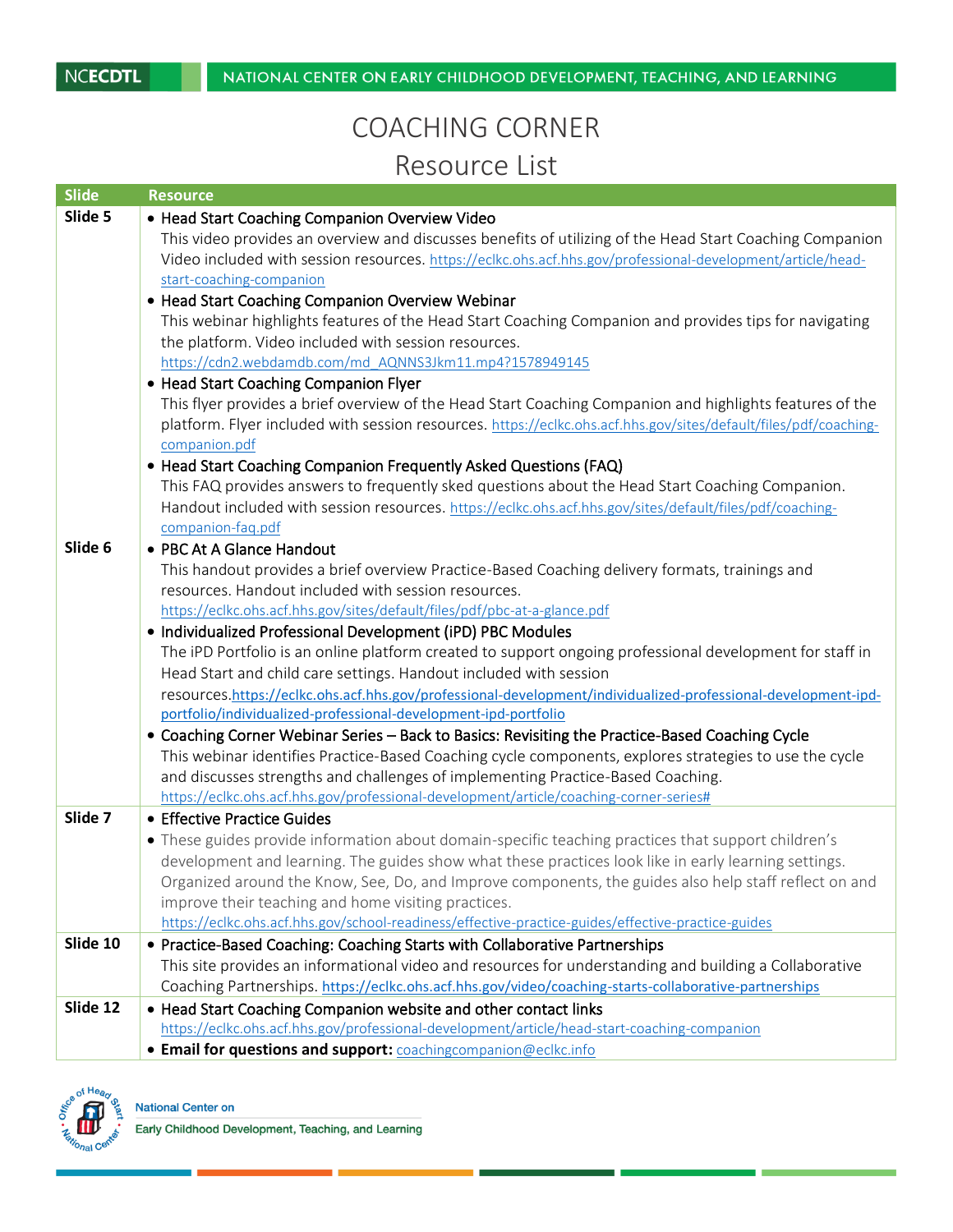## COACHING CORNER Resource List

| <b>Slide</b> | Resource                                                                                                                                                                                                    |
|--------------|-------------------------------------------------------------------------------------------------------------------------------------------------------------------------------------------------------------|
| Slide 5      | • Head Start Coaching Companion Overview Video                                                                                                                                                              |
|              | This video provides an overview and discusses benefits of utilizing of the Head Start Coaching Companion                                                                                                    |
|              | Video included with session resources. https://eclkc.ohs.acf.hhs.gov/professional-development/article/head-                                                                                                 |
|              | start-coaching-companion                                                                                                                                                                                    |
|              | • Head Start Coaching Companion Overview Webinar                                                                                                                                                            |
|              | This webinar highlights features of the Head Start Coaching Companion and provides tips for navigating                                                                                                      |
|              | the platform. Video included with session resources.                                                                                                                                                        |
|              | https://cdn2.webdamdb.com/md_AQNNS3Jkm11.mp4?1578949145                                                                                                                                                     |
|              | • Head Start Coaching Companion Flyer                                                                                                                                                                       |
|              | This flyer provides a brief overview of the Head Start Coaching Companion and highlights features of the                                                                                                    |
|              | platform. Flyer included with session resources. https://eclkc.ohs.acf.hhs.gov/sites/default/files/pdf/coaching-                                                                                            |
|              | companion.pdf<br>• Head Start Coaching Companion Frequently Asked Questions (FAQ)                                                                                                                           |
|              | This FAQ provides answers to frequently sked questions about the Head Start Coaching Companion.                                                                                                             |
|              | Handout included with session resources. https://eclkc.ohs.acf.hhs.gov/sites/default/files/pdf/coaching-                                                                                                    |
|              | companion-faq.pdf                                                                                                                                                                                           |
| Slide 6      | • PBC At A Glance Handout                                                                                                                                                                                   |
|              | This handout provides a brief overview Practice-Based Coaching delivery formats, trainings and                                                                                                              |
|              | resources. Handout included with session resources.                                                                                                                                                         |
|              | https://eclkc.ohs.acf.hhs.gov/sites/default/files/pdf/pbc-at-a-glance.pdf                                                                                                                                   |
|              | • Individualized Professional Development (iPD) PBC Modules                                                                                                                                                 |
|              | The iPD Portfolio is an online platform created to support ongoing professional development for staff in                                                                                                    |
|              | Head Start and child care settings. Handout included with session                                                                                                                                           |
|              | resources.https://eclkc.ohs.acf.hhs.gov/professional-development/individualized-professional-development-ipd-                                                                                               |
|              | portfolio/individualized-professional-development-ipd-portfolio                                                                                                                                             |
|              | • Coaching Corner Webinar Series - Back to Basics: Revisiting the Practice-Based Coaching Cycle                                                                                                             |
|              | This webinar identifies Practice-Based Coaching cycle components, explores strategies to use the cycle                                                                                                      |
|              | and discusses strengths and challenges of implementing Practice-Based Coaching.                                                                                                                             |
| Slide 7      | https://eclkc.ohs.acf.hhs.gov/professional-development/article/coaching-corner-series#<br>• Effective Practice Guides                                                                                       |
|              |                                                                                                                                                                                                             |
|              | • These guides provide information about domain-specific teaching practices that support children's<br>development and learning. The guides show what these practices look like in early learning settings. |
|              | Organized around the Know, See, Do, and Improve components, the guides also help staff reflect on and                                                                                                       |
|              | improve their teaching and home visiting practices.                                                                                                                                                         |
|              | https://eclkc.ohs.acf.hhs.gov/school-readiness/effective-practice-guides/effective-practice-guides                                                                                                          |
| Slide 10     | • Practice-Based Coaching: Coaching Starts with Collaborative Partnerships                                                                                                                                  |
|              | This site provides an informational video and resources for understanding and building a Collaborative                                                                                                      |
|              | Coaching Partnerships. https://eclkc.ohs.acf.hhs.gov/video/coaching-starts-collaborative-partnerships                                                                                                       |
| Slide 12     | • Head Start Coaching Companion website and other contact links                                                                                                                                             |
|              | https://eclkc.ohs.acf.hhs.gov/professional-development/article/head-start-coaching-companion                                                                                                                |
|              | <b>• Email for questions and support:</b> coachingcompanion@eclkc.info                                                                                                                                      |



**National Center on** 

Early Childhood Development, Teaching, and Learning